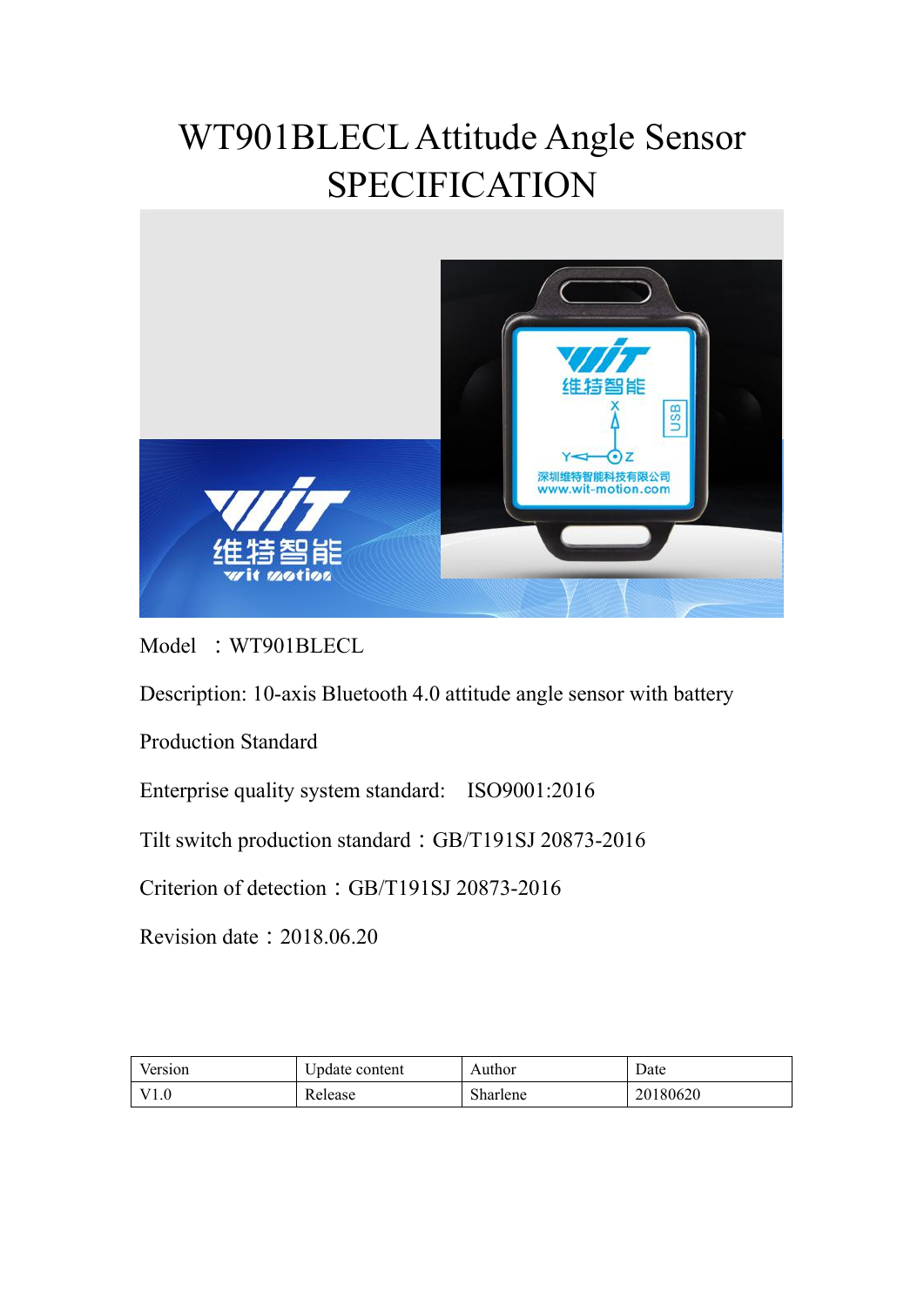# WT901BLECL Attitude Angle Sensor SPECIFICATION



Model :WT901BLECL

Description: 10-axis Bluetooth 4.0 attitude angle sensor with battery

Production Standard

Enterprise quality system standard: ISO9001:2016

Tilt switch production standard:GB/T191SJ 20873-2016

Criterion of detection: GB/T191SJ 20873-2016

Revision date:2018.06.20

| Version | Update content | Author   | Date     |
|---------|----------------|----------|----------|
| V1.0    | Release        | Sharlene | 20180620 |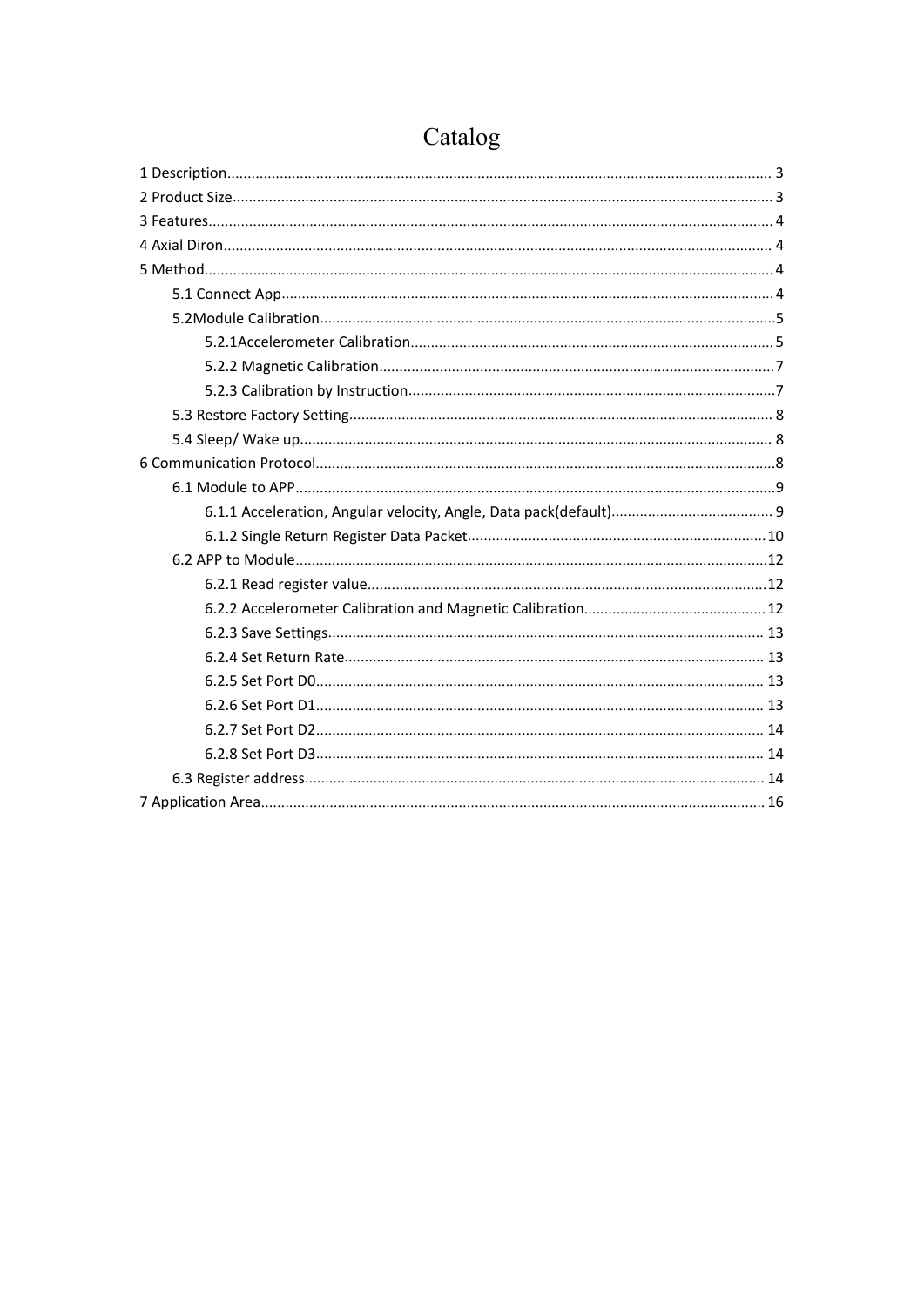# Catalog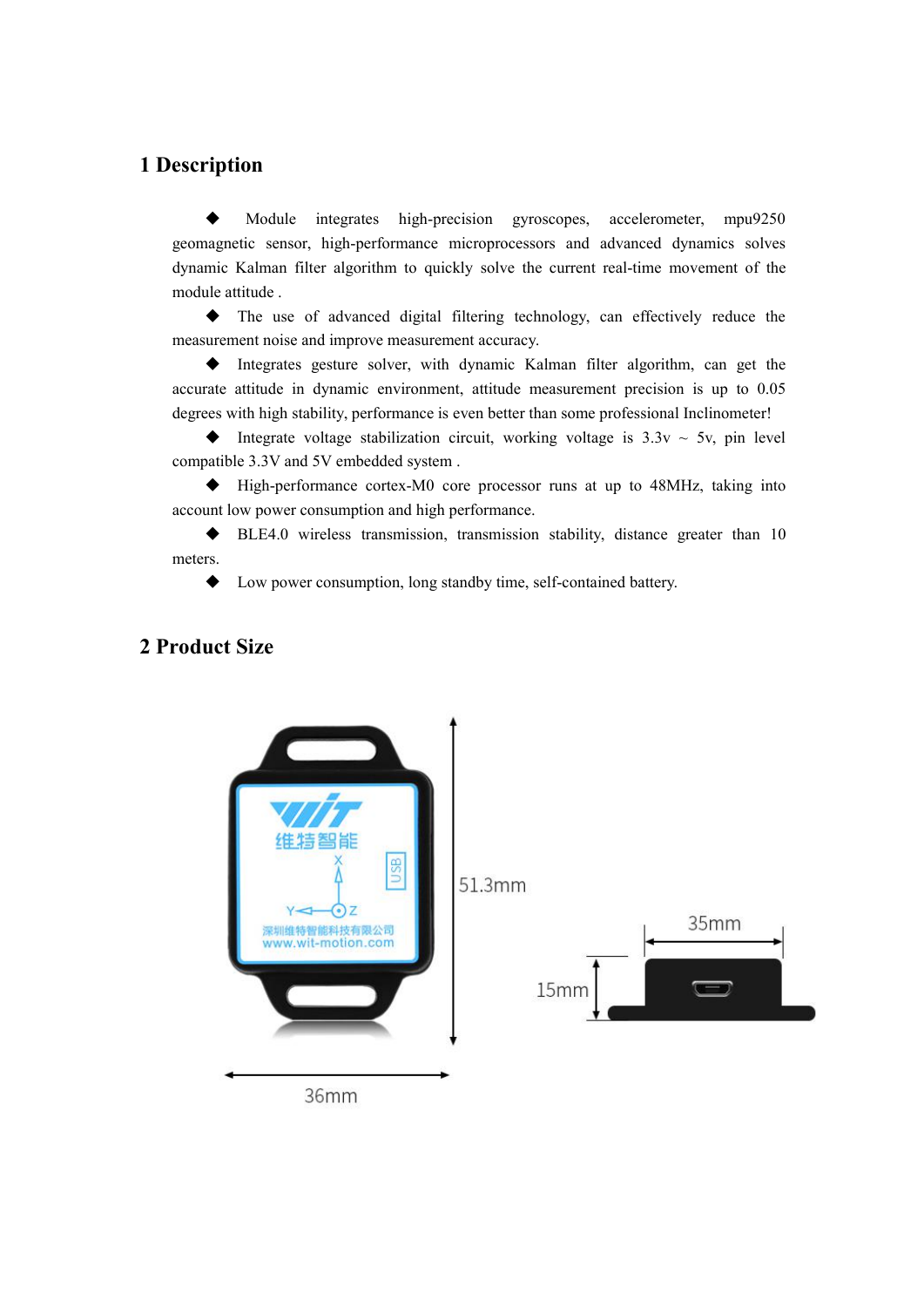### <span id="page-2-0"></span>**1 Description**

 Module integrates high-precision gyroscopes, accelerometer, mpu9250 geomagnetic sensor, high-performance microprocessors and advanced dynamics solves dynamic Kalman filter algorithm to quickly solve the current real-time movement of the module attitude .

 The use of advanced digital filtering technology, can effectively reduce the measurement noise and improve measurement accuracy.

 Integrates gesture solver, with dynamic Kalman filter algorithm, can get the accurate attitude in dynamic environment, attitude measurement precision is up to 0.05 degrees with high stability, performance is even better than some professional Inclinometer!

 $\blacklozenge$  Integrate voltage stabilization circuit, working voltage is 3.3v  $\sim$  5v, pin level compatible 3.3V and 5V embedded system .

 High-performance cortex-M0 core processor runs at up to 48MHz, taking into account low power consumption and high performance.

 $\blacklozenge$  BLE4.0 wireless transmission, transmission stability, distance greater than 10 meters.

◆ Low power consumption, long standby time, self-contained battery.



### <span id="page-2-1"></span>**2 Product Size**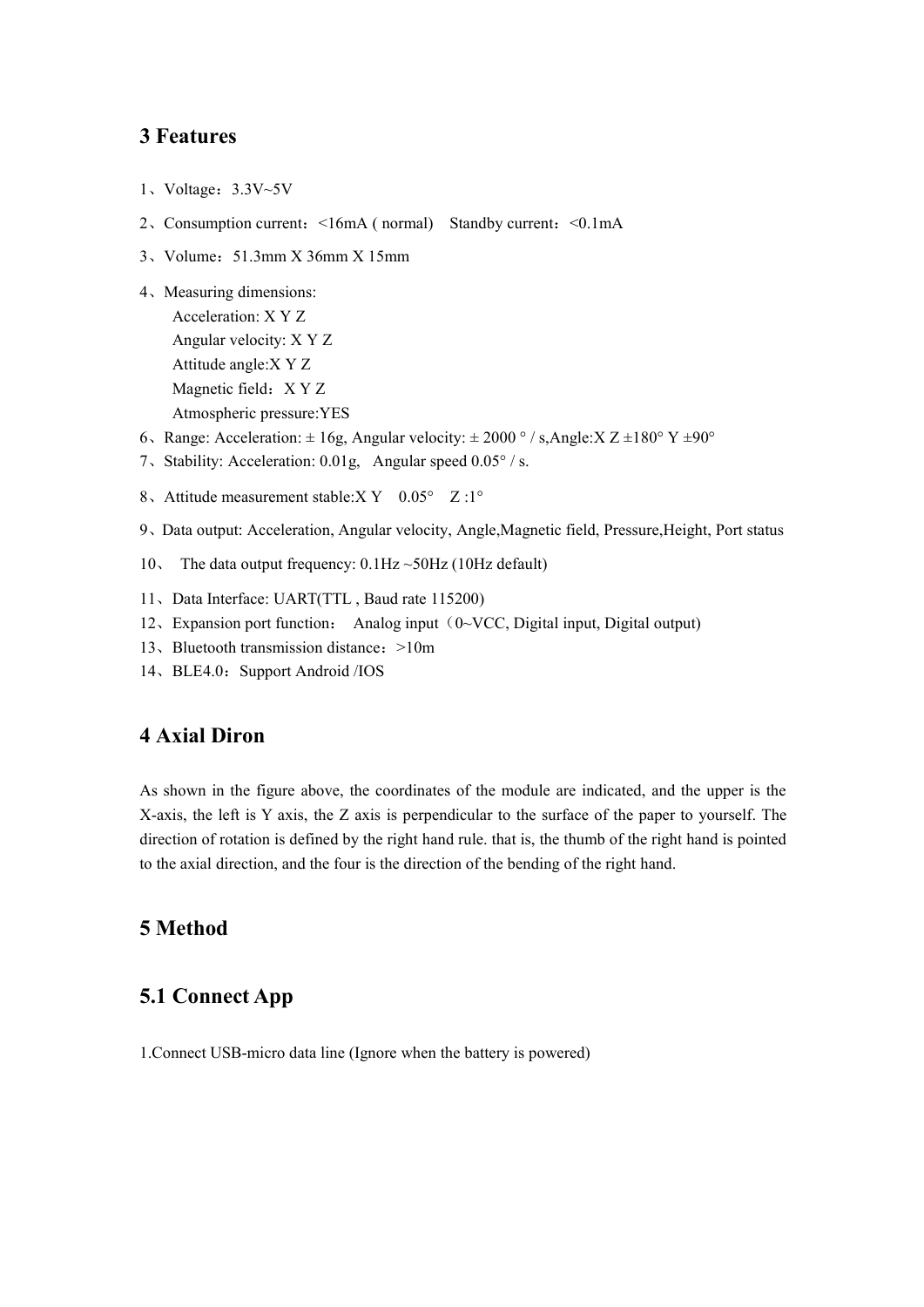### <span id="page-3-0"></span>**3 Features**

- 1、Voltage:3.3V~5V
- 2、Consumption current:<16mA ( normal) Standby current:<0.1mA
- 3、Volume:51.3mm X 36mm X 15mm

```
4、Measuring dimensions:
Acceleration: X Y Z
Angular velocity: X Y Z
Attitude angle:X Y Z
Magnetic field: X Y Z
Atmospheric pressure:YES
```
- 6、Range: Acceleration:  $\pm 16g$ , Angular velocity:  $\pm 2000$  ° / s, Angle:  $X Z \pm 180$  °  $Y \pm 90$  °
- 7、Stability: Acceleration: 0.01g, Angular speed 0.05° / s.
- 8. Attitude measurement stable:  $XY = 0.05^{\circ}$   $Z : 1^{\circ}$
- 9、Data output: Acceleration, Angular velocity, Angle,Magnetic field, Pressure,Height, Port status
- 10、 The data output frequency: 0.1Hz ~50Hz (10Hz default)
- 11、Data Interface: UART(TTL , Baud rate 115200)
- 12, Expansion port function: Analog input  $(0 \sim VCC,$  Digital input, Digital output)
- 13、Bluetooth transmission distance: >10m
- 14、BLE4.0: Support Android /IOS

#### <span id="page-3-1"></span>**4 Axial Diron**

As shown in the figure above, the coordinates of the module are indicated, and the upper is the X-axis, the left is Y axis, the Z axis is perpendicular to the surface of the paper to yourself. The direction of rotation is defined by the right hand rule. that is, the thumb of the right hand is pointed to the axial direction, and the four is the direction of the bending of the right hand.

### <span id="page-3-2"></span>**5 Method**

### <span id="page-3-3"></span>**5.1 Connect App**

1.Connect USB-micro data line (Ignore when the battery is powered)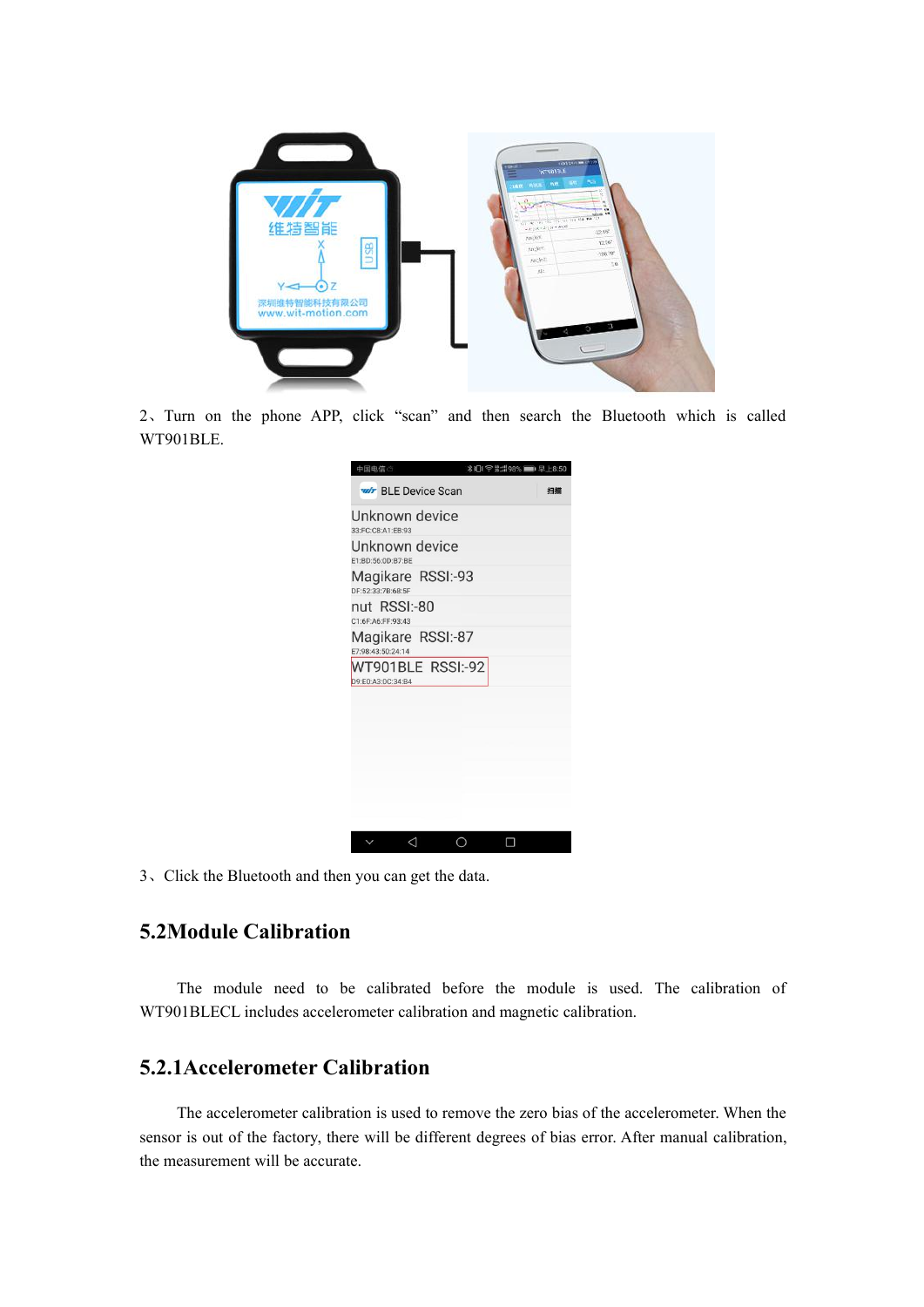

2、Turn on the phone APP, click "scan" and then search the Bluetooth which is called WT901BLE.

| 中国电信                                   | <b>*IDI 今 細盟 98% ■■ 早上8:50</b> |
|----------------------------------------|--------------------------------|
| <b>Wir BLE Device Scan</b>             | 扫描                             |
| Unknown device<br>33:FC:C8:A1:EB:93    |                                |
| Unknown device<br>E1:BD:56:0D:B7:BE    |                                |
| Magikare RSSI:-93<br>DF:52:33:7B:68:5F |                                |
| nut RSSI:-80<br>C1:6F:A6:FF:93:43      |                                |
| Magikare RSSI:-87<br>E7:98:43:50:24:14 |                                |
| WT901BLE RSSI:-92<br>D9:E0:A3:0C:34:B4 |                                |
|                                        |                                |
|                                        |                                |
|                                        |                                |
|                                        |                                |
|                                        |                                |
| ⊲                                      |                                |

3、Click the Bluetooth and then you can get the data.

### <span id="page-4-0"></span>**5.2Module Calibration**

The module need to be calibrated before the module is used. The calibration of WT901BLECL includes accelerometer calibration and magnetic calibration.

### <span id="page-4-1"></span>**5.2.1Accelerometer Calibration**

The accelerometer calibration is used to remove the zero bias of the accelerometer. When the sensor is out of the factory, there will be different degrees of bias error. After manual calibration, the measurement will be accurate.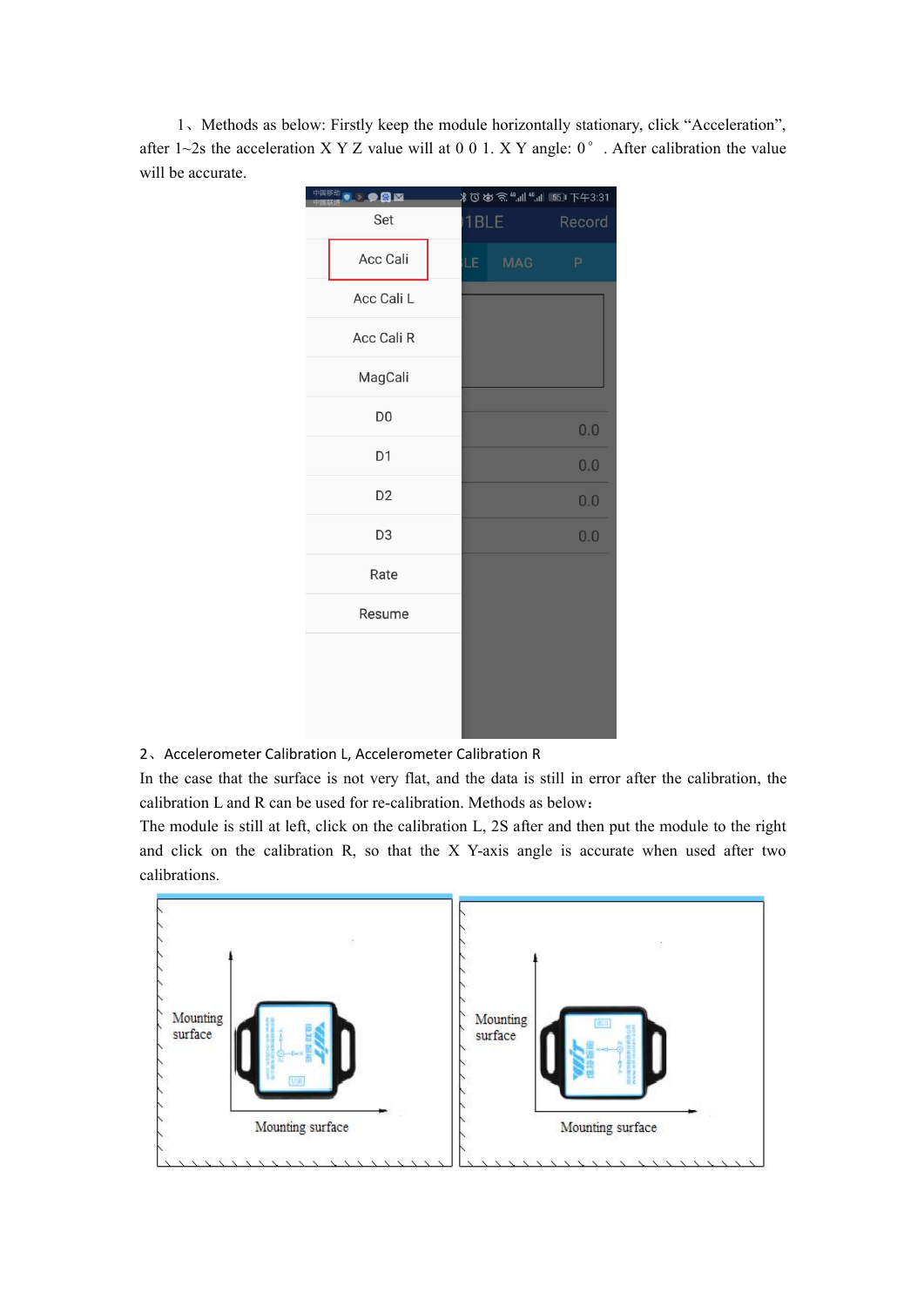1、Methods as below: Firstly keep the module horizontally stationary, click "Acceleration", after 1~2s the acceleration X Y Z value will at 0 0 1. X Y angle:  $0^{\circ}$  . After calibration the value will be accurate.

| 中国移动<br>$\bullet$ $\bullet$ $\bullet$ $\bullet$ |      | ∦♡めゑ"┉ "┉ 50 下午3:31 |
|-------------------------------------------------|------|---------------------|
| Set                                             | 1BLE | Record              |
| Acc Cali                                        | LE   | <b>MAG</b><br>P     |
| Acc Cali L                                      |      |                     |
| Acc Cali R                                      |      |                     |
| MagCali                                         |      |                     |
| D <sub>0</sub>                                  |      | 0.0                 |
| D <sub>1</sub>                                  |      | 0.0                 |
| D <sub>2</sub>                                  |      | 0.0                 |
| D <sub>3</sub>                                  |      | 0.0                 |
| Rate                                            |      |                     |
| Resume                                          |      |                     |
|                                                 |      |                     |
|                                                 |      |                     |
|                                                 |      |                     |

2、Accelerometer Calibration L, Accelerometer Calibration R

In the case that the surface is not very flat, and the data is still in error after the calibration, the calibration L and R can be used for re-calibration. Methods as below:

The module is still at left, click on the calibration L, 2S after and then put the module to the right and click on the calibration R, so that the X Y-axis angle is accurate when used after two calibrations.

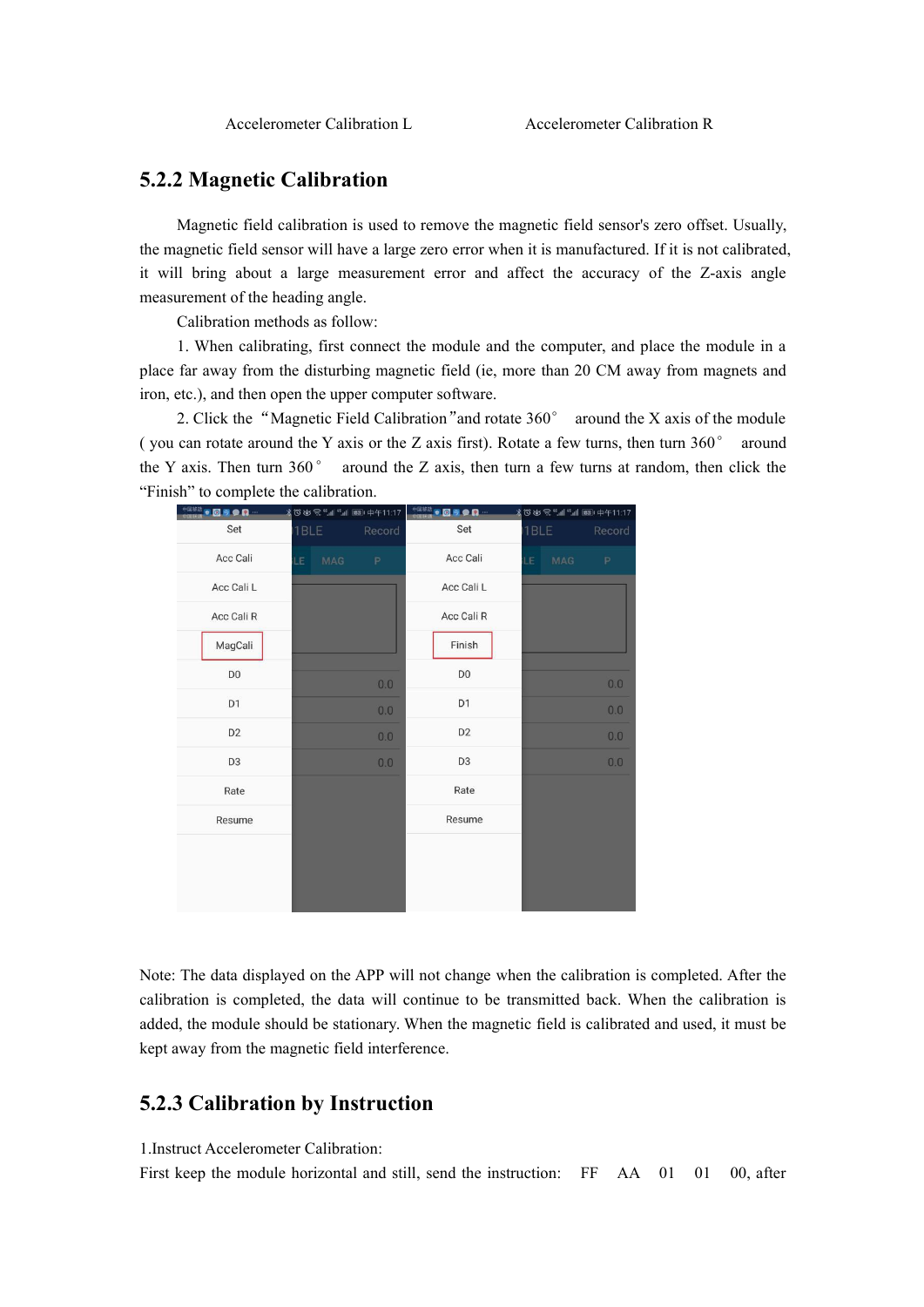#### <span id="page-6-0"></span>**5.2.2 Magnetic Calibration**

Magnetic field calibration is used to remove the magnetic field sensor's zero offset. Usually, the magnetic field sensor will have a large zero error when it is manufactured. If it is not calibrated, it will bring about a large measurement error and affect the accuracy of the Z-axis angle measurement of the heading angle.

Calibration methods as follow:

1. When calibrating, first connect the module and the computer, and place the module in a place far away from the disturbing magnetic field (ie, more than 20 CM away from magnets and iron, etc.), and then open the upper computer software.

2. Click the "Magnetic Field Calibration" and rotate 360° around the X axis of the module ( you can rotate around the Y axis or the Z axis first). Rotate a few turns, then turn  $360^\circ$  around the Y axis. Then turn  $360^{\circ}$  around the Z axis, then turn a few turns at random, then click the "Finish" to complete the calibration.

| <sup>中国移动</sup> ●◎今●◎… | *30める"" 11, "" 11, 图 中午11:17 |        | 中国移动●図今●日…     |                   |        |
|------------------------|------------------------------|--------|----------------|-------------------|--------|
| Set                    | 1BLE                         | Record | Set            | 1BLE              | Record |
| Acc Cali               | <b>MAG</b><br>LE             | P      | Acc Cali       | <b>MAG</b><br>LE. | P      |
| Acc Cali L             |                              |        | Acc Cali L     |                   |        |
| Acc Cali R             |                              |        | Acc Cali R     |                   |        |
| MagCali                |                              |        | Finish         |                   |        |
| D <sub>0</sub>         |                              | 0.0    | D <sub>0</sub> |                   | 0.0    |
| D <sub>1</sub>         |                              | 0.0    | D <sub>1</sub> |                   | 0.0    |
| D <sub>2</sub>         |                              | 0.0    | D <sub>2</sub> |                   | 0.0    |
| D <sub>3</sub>         |                              | 0.0    | D <sub>3</sub> |                   | 0.0    |
| Rate                   |                              |        | Rate           |                   |        |
| Resume                 |                              |        | Resume         |                   |        |
|                        |                              |        |                |                   |        |
|                        |                              |        |                |                   |        |

Note: The data displayed on the APP will not change when the calibration is completed. After the calibration is completed, the data will continue to be transmitted back. When the calibration is added, the module should be stationary. When the magnetic field is calibrated and used, it must be kept away from the magnetic field interference.

#### <span id="page-6-1"></span>**5.2.3 Calibration by Instruction**

1.Instruct Accelerometer Calibration:

First keep the module horizontal and still, send the instruction: FF AA 01 01 00, after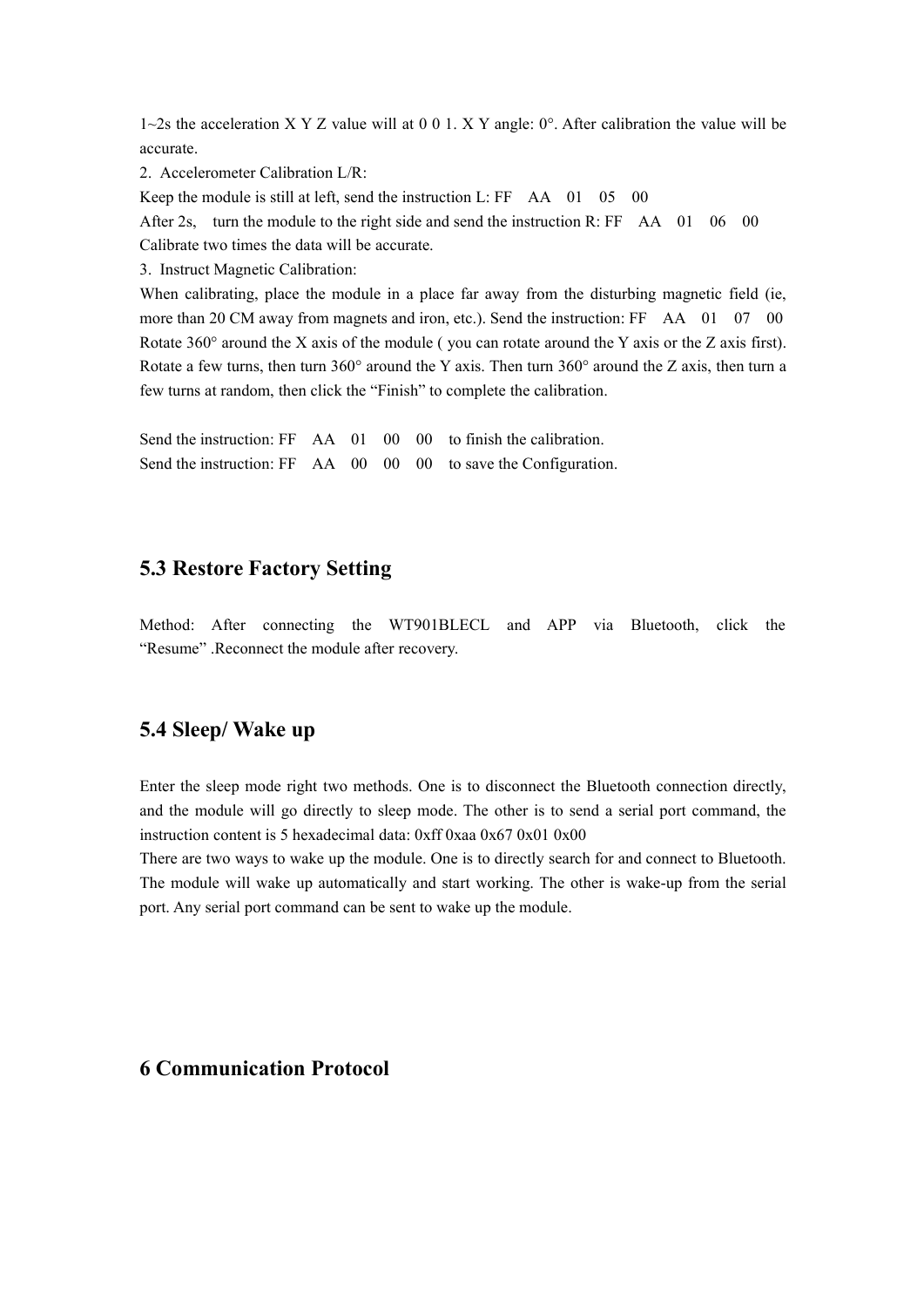$1~2$ s the acceleration X Y Z value will at 0 0 1. X Y angle: 0°. After calibration the value will be accurate.

2. Accelerometer Calibration L/R:

Keep the module is still at left, send the instruction L: FF AA 01 05 00

After 2s, turn the module to the right side and send the instruction R: FF AA 01 06 00

Calibrate two times the data will be accurate.

3. Instruct Magnetic Calibration:

When calibrating, place the module in a place far away from the disturbing magnetic field (ie, more than 20 CM away from magnets and iron, etc.). Send the instruction: FF AA 01 07 00 Rotate  $360^\circ$  around the X axis of the module (you can rotate around the Y axis or the Z axis first). Rotate a few turns, then turn 360° around the Y axis. Then turn 360° around the Z axis, then turn a few turns at random, then click the "Finish" to complete the calibration.

Send the instruction: FF AA 01 00 00 to finish the calibration. Send the instruction: FF AA 00 00 00 to save the Configuration.

#### <span id="page-7-0"></span>**5.3 Restore Factory Setting**

Method: After connecting the WT901BLECL and APP via Bluetooth, click the "Resume" .Reconnect the module after recovery.

#### <span id="page-7-1"></span>**5.4 Sleep/ Wake up**

Enter the sleep mode right two methods. One is to disconnect the Bluetooth connection directly, and the module will go directly to sleep mode. The other is to send a serial port command, the instruction content is 5 hexadecimal data: 0xff 0xaa 0x67 0x01 0x00

There are two ways to wake up the module. One is to directly search for and connect to Bluetooth. The module will wake up automatically and start working. The other is wake-up from the serial port. Any serial port command can be sent to wake up the module.

### <span id="page-7-2"></span>**6 Communication Protocol**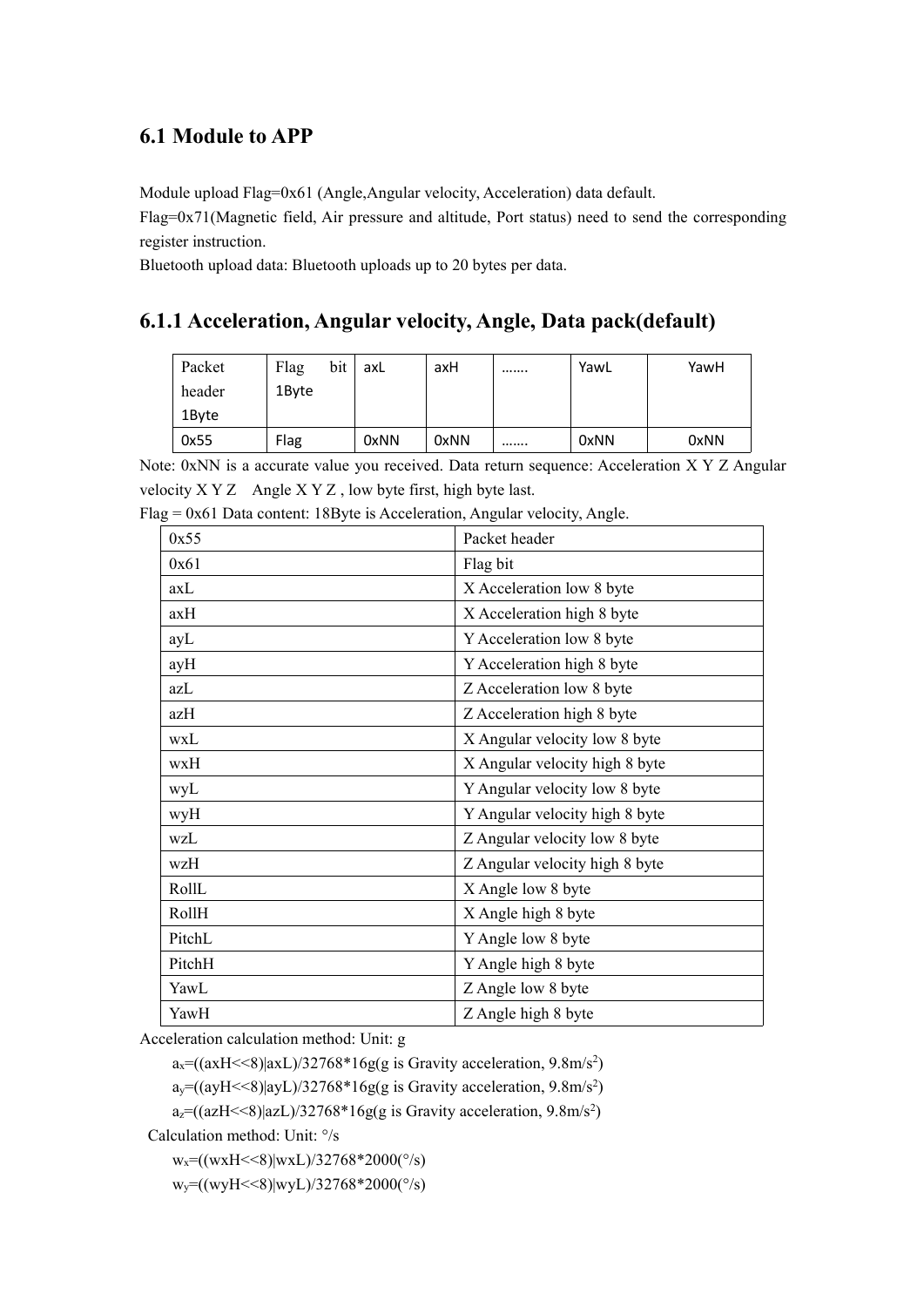### <span id="page-8-0"></span>**6.1 Module to APP**

Module upload Flag=0x61 (Angle,Angular velocity, Acceleration) data default.

Flag=0x71(Magnetic field, Air pressure and altitude, Port status) need to send the corresponding register instruction.

Bluetooth upload data: Bluetooth uploads up to 20 bytes per data.

### <span id="page-8-1"></span>**6.1.1 Acceleration, Angular velocity, Angle, Data pack(default)**

| Packet | Flag  | bit | axL  | axH  | <br>YawL | YawH |
|--------|-------|-----|------|------|----------|------|
| header | 1Byte |     |      |      |          |      |
| 1Byte  |       |     |      |      |          |      |
| 0x55   | Flag  |     | 0xNN | 0xNN | <br>0xNN | 0xNN |

Note: 0xNN is a accurate value you received. Data return sequence: Acceleration X Y Z Angular velocity X Y Z Angle X Y Z , low byte first, high byte last.

| 0x55   | Packet header                  |
|--------|--------------------------------|
| 0x61   | Flag bit                       |
| axL    | X Acceleration low 8 byte      |
| axH    | X Acceleration high 8 byte     |
| ayL    | Y Acceleration low 8 byte      |
| ayH    | Y Acceleration high 8 byte     |
| azL    | Z Acceleration low 8 byte      |
| azH    | Z Acceleration high 8 byte     |
| wxL    | X Angular velocity low 8 byte  |
| wxH    | X Angular velocity high 8 byte |
| wyL    | Y Angular velocity low 8 byte  |
| wyH    | Y Angular velocity high 8 byte |
| wzL    | Z Angular velocity low 8 byte  |
| wzH    | Z Angular velocity high 8 byte |
| RollL  | X Angle low 8 byte             |
| RollH  | X Angle high 8 byte            |
| PitchL | Y Angle low 8 byte             |
| PitchH | Y Angle high 8 byte            |
| YawL   | Z Angle low 8 byte             |
| YawH   | Z Angle high 8 byte            |

 $Flag = 0x61 Data content: 18Byte is Acceleration, Angular velocity, Angle.$ 

Acceleration calculation method: Unit: g

 $a_x=(axH<8)|axL|/32768*16g(g)$  is Gravity acceleration, 9.8m/s<sup>2</sup>)

ay=((ayH<<8)|ayL)/32768\*16g(g is Gravity acceleration, 9.8m/s <sup>2</sup>)

a<sub>z</sub>=((azH<<8)|azL)/32768\*16g(g is Gravity acceleration, 9.8m/s<sup>2</sup>)

Calculation method: Unit: °/s

 $w_x=(wxH<8)|wxL)/32768*2000(^{\circ}/s)$ 

 $w_y = ((wyH << 8)|wyL)/32768*2000(°/s))$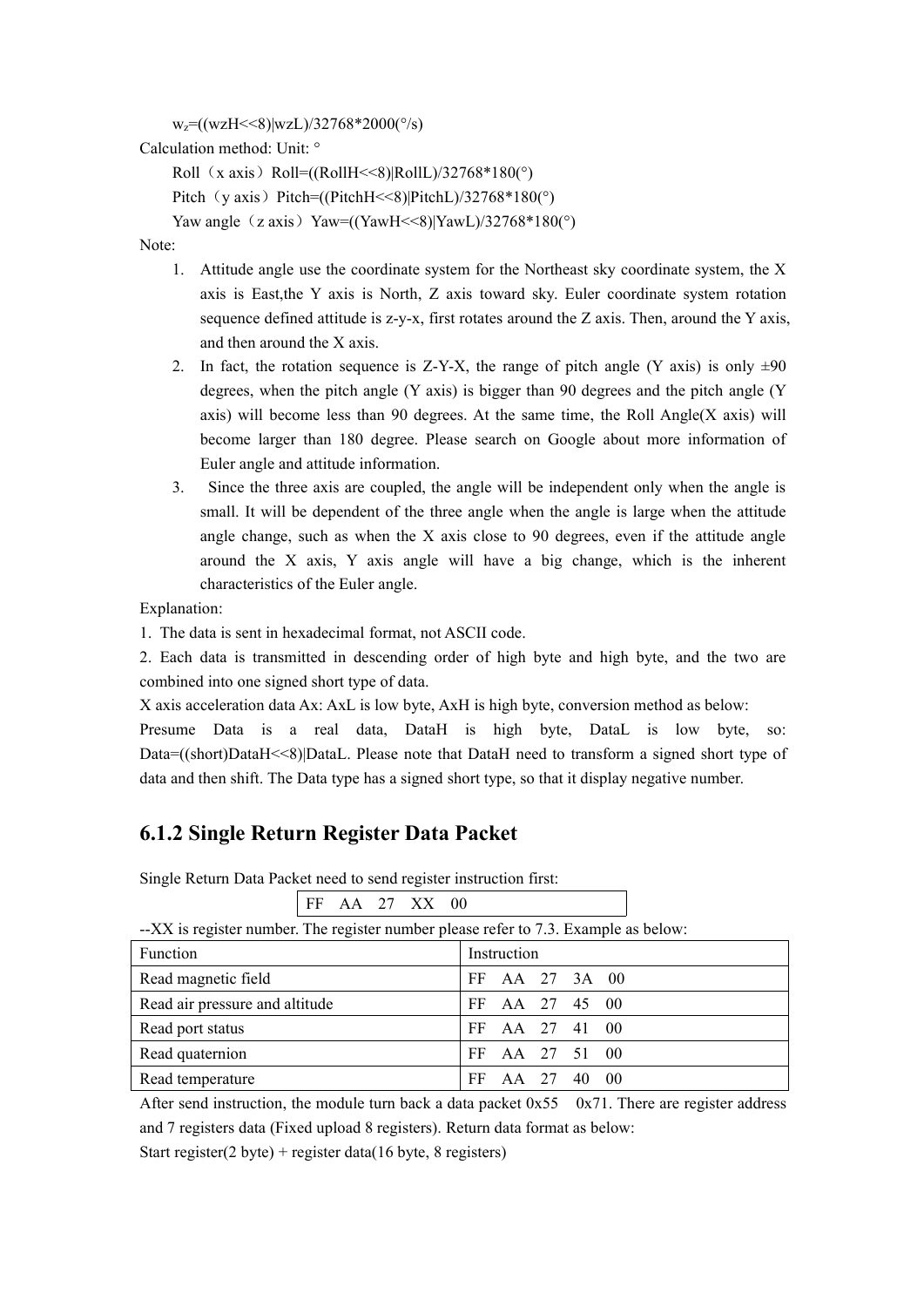```
w_z = ((wzH << 8)|wzL)/32768*2000(°/s))
```
Calculation method: Unit: °

```
Roll (x axis) Roll=((RollH<<8)|RollL)/32768*180(°)
```

```
Pitch(y \text{ axis}) Pitch=((PitchH\leq8)|PitchL)/32768*180(°)
```

```
Yaw angle (z axis) Yaw=((YawH <<8)|YawL/32768*180(°)
```
Note:

- 1. Attitude angle use the coordinate system for the Northeast sky coordinate system, the X axis is East,the Y axis is North, Z axis toward sky. Euler coordinate system rotation sequence defined attitude is  $z-y-x$ , first rotates around the Z axis. Then, around the Y axis, and then around the X axis.
- 2. In fact, the rotation sequence is Z-Y-X, the range of pitch angle (Y axis) is only  $\pm 90$ degrees, when the pitch angle (Y axis) is bigger than 90 degrees and the pitch angle (Y axis) will become less than 90 degrees. At the same time, the Roll Angle $(X \text{ axis})$  will become larger than 180 degree. Please search on Google about more information of Euler angle and attitude information.
- 3. Since the three axis are coupled, the angle will be independent only when the angle is small. It will be dependent of the three angle when the angle islarge when the attitude angle change, such as when the X axis close to 90 degrees, even if the attitude angle around the X axis, Y axis angle will have a big change, which is the inherent characteristics of the Euler angle.

Explanation:

1. The data is sent in hexadecimal format, not ASCII code.

2. Each data is transmitted in descending order of high byte and high byte, and the two are combined into one signed short type of data.

X axis acceleration data Ax: AxL is low byte, AxH is high byte, conversion method as below:

Presume Data is a real data, DataH is high byte, DataL is low byte, so: Data=((short)DataH<<8)|DataL. Please note that DataH need to transform a signed short type of data and then shift. The Data type has a signed short type, so that it display negative number.

### <span id="page-9-0"></span>**6.1.2 Single Return Register Data Packet**

Single Return Data Packet need to send register instruction first:

| FF AA 27 XX 00                                                                      |                      |
|-------------------------------------------------------------------------------------|----------------------|
| --XX is register number. The register number please refer to 7.3. Example as below: |                      |
| <b>Function</b>                                                                     | Instruction          |
| Read magnetic field                                                                 | AA 27 3A 00<br>FF.   |
| Read air pressure and altitude                                                      | AA 27 45 00<br>FF.   |
| Read port status                                                                    | AA 27 41 00<br>FF.   |
| Read quaternion                                                                     | AA 27 51 00<br>FF    |
| Read temperature                                                                    | AA 27 40<br>FF<br>00 |

After send instruction, the module turn back a data packet  $0x550x71$ . There are register address and 7 registers data (Fixed upload 8 registers). Return data format as below:

Start register(2 byte) + register data(16 byte, 8 registers)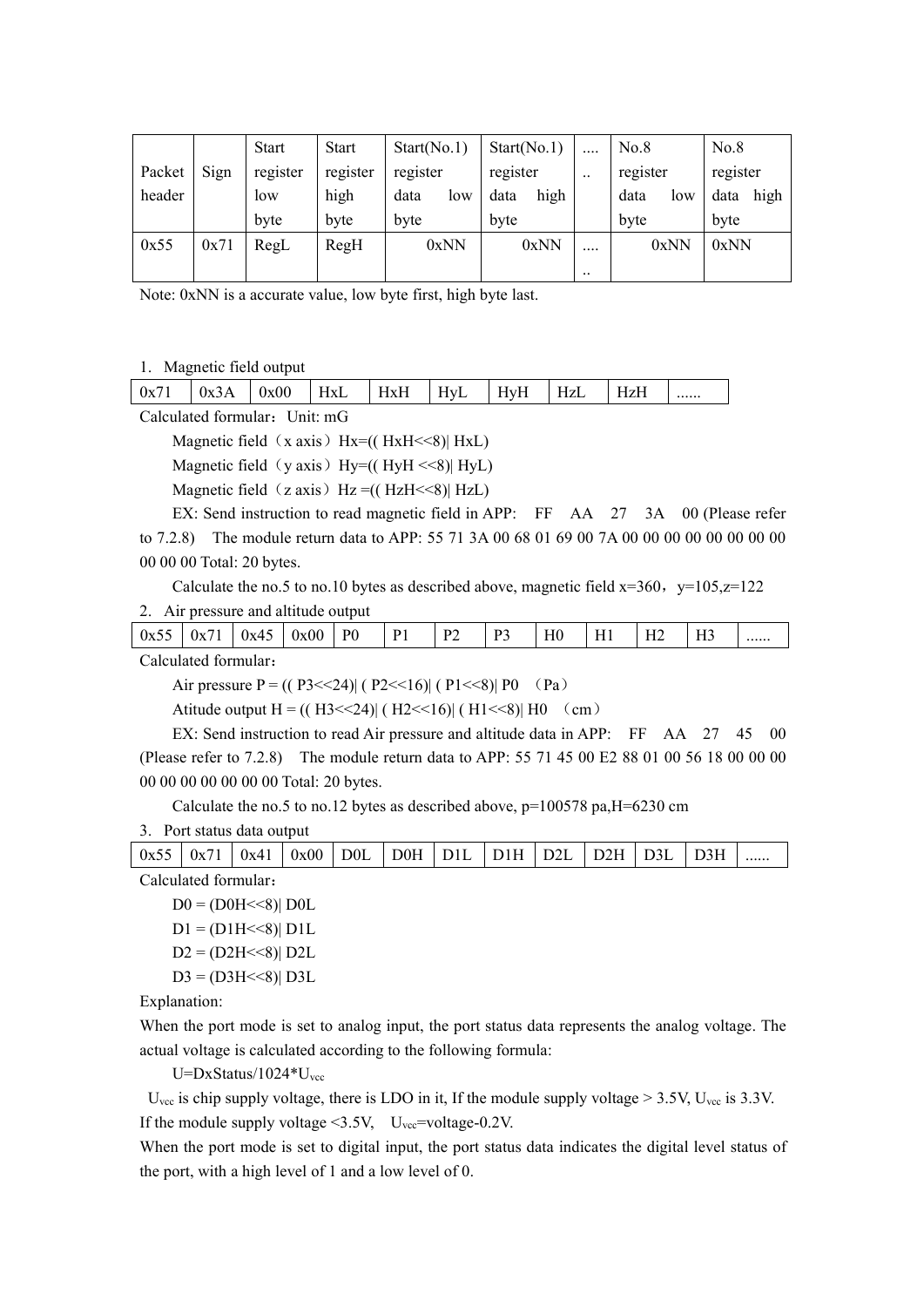|        |      | <b>Start</b> | Start    | Start(No.1) | Start(No.1)  | $\cdots$      | No.8        | No.8         |
|--------|------|--------------|----------|-------------|--------------|---------------|-------------|--------------|
| Packet | Sign | register     | register | register    | register     | $\cdot \cdot$ | register    | register     |
| header |      | low          | high     | data<br>low | high<br>data |               | data<br>low | high<br>data |
|        |      | byte         | byte     | byte        | byte         |               | byte        | byte         |
| 0x55   | 0x71 | RegL         | RegH     | 0xNN        | 0xNN         | $\cdots$      | 0xNN        | 0xNN         |
|        |      |              |          |             |              | $\ddotsc$     |             |              |

Note: 0xNN is a accurate value, low byte first, high byte last.

#### 1. Magnetic field output

|  | 0x71 | $0x^2$ | <b>)x00</b><br>$\mathbf{a}$ | HxL | JvL<br>TIVIT | Hv<br>/ ⊥<br> | HvF<br>,<br> | ┚┙<br><b>TIZL</b> | ----- |  |
|--|------|--------|-----------------------------|-----|--------------|---------------|--------------|-------------------|-------|--|
|--|------|--------|-----------------------------|-----|--------------|---------------|--------------|-------------------|-------|--|

Calculated formular: Unit: mG

Magnetic field  $(x axis)$  Hx= $(( HxH<8)$ | HxL)

Magnetic field (y axis) Hy= $((\text{HyH} \ll 8) | \text{HyL})$ 

Magnetic field  $(z \text{ axis})$  Hz =(( HzH <<8)| HzL)

EX: Send instruction to read magnetic field in APP: FF AA 27 3A 00 (Please refer to 7.2.8) The module return data to APP: 55 71 3A 00 68 01 69 00 7A 00 00 00 00 00 00 00 00 00 00 00 Total: 20 bytes.

Calculate the no.5 to no.10 bytes as described above, magnetic field  $x=360$ ,  $y=105$ ,  $z=122$ 

2. Air pressure and altitude output

Calculated formular:

Air pressure  $P = ((P3 \le 24) | (P2 \le 16) | (P1 \le 8) | P0 (Pa)$ 

Atitude output  $H = ((H3 \le 24) | (H2 \le 16) | (H1 \le 8) | H0 \text{ (cm)}$ 

EX: Send instruction to read Air pressure and altitude data in APP: FF AA 27 45 00 (Please refer to 7.2.8) The module return data to APP: 55 71 45 00 E2 88 01 00 56 18 00 00 00 00 00 00 00 00 00 00 Total: 20 bytes.

Calculate the no.5 to no.12 bytes as described above,  $p=100578$  pa,  $H=6230$  cm

#### 3. Port status data output

| 0x55                 | 0x7 <sup>1</sup> | 0x41 | 0x00 | D <sub>0</sub> L | DOH | D1L | D1H | D <sub>2</sub> L | D2H | D3L | D <sub>3H</sub> |  |
|----------------------|------------------|------|------|------------------|-----|-----|-----|------------------|-----|-----|-----------------|--|
| Calculated formular: |                  |      |      |                  |     |     |     |                  |     |     |                 |  |

 $D0 = (D0H << 8)$ | D0L

 $D1 = (D1H \le 8)$ |  $D1L$ 

 $D2 = (D2H \le 8) D2L$ 

 $D3 = (D3H \leq S) | D3L$ 

Explanation:

When the port mode is set to analog input, the port status data represents the analog voltage. The actual voltage is calculated according to the following formula:

 $U=DxStatus/1024*U_{\text{vec}}$ 

 $U_{\text{vec}}$  is chip supply voltage, there is LDO in it, If the module supply voltage  $> 3.5V$ ,  $U_{\text{vec}}$  is 3.3V. If the module supply voltage  $\leq 3.5V$ , U<sub>vcc</sub>=voltage-0.2V.

When the port mode is set to digital input, the port status data indicates the digital level status of the port, with a high level of 1 and a low level of 0.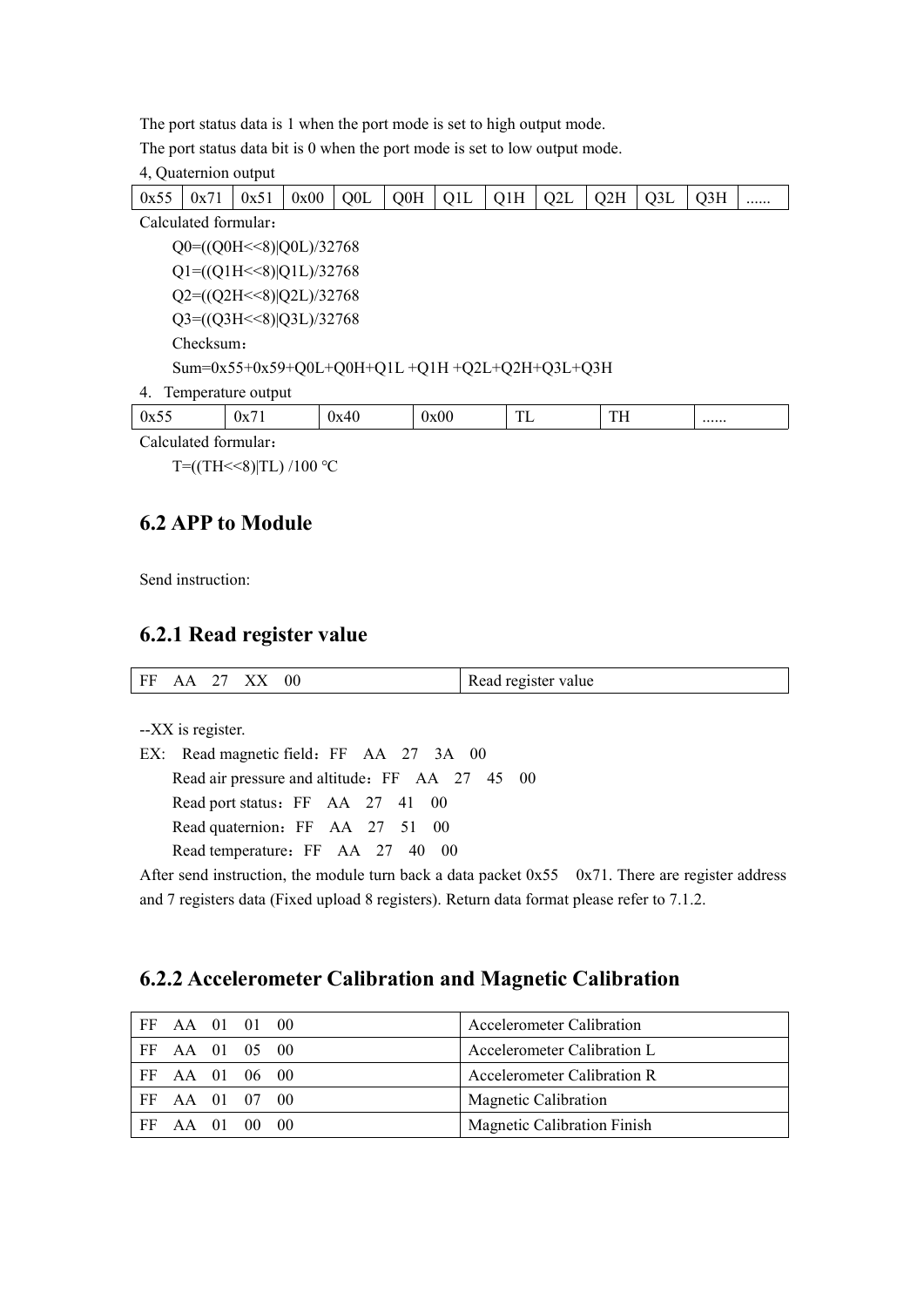The port status data is 1 when the port mode is set to high output mode.

The port status data bit is 0 when the port mode is set to low output mode.

4, Quaternion output

|                                                 | 0x55                                  | 0x71      | 0x51 | 0x00 | Q <sub>0</sub> L | Q0H | Q1L  | Q1H | Q2L | Q2H | Q3L | Q <sub>3H</sub> |  |
|-------------------------------------------------|---------------------------------------|-----------|------|------|------------------|-----|------|-----|-----|-----|-----|-----------------|--|
|                                                 | Calculated formular:                  |           |      |      |                  |     |      |     |     |     |     |                 |  |
|                                                 | $Q0=( (Q0H<<8)   Q0L)/32768$          |           |      |      |                  |     |      |     |     |     |     |                 |  |
|                                                 | $Q1=(Q1H<<8) Q1L)/32768$              |           |      |      |                  |     |      |     |     |     |     |                 |  |
|                                                 | $Q2=(\frac{Q2H}{8}) Q2L\rangle/32768$ |           |      |      |                  |     |      |     |     |     |     |                 |  |
|                                                 | $Q3=( (Q3H<8)   Q3L)/32768$           |           |      |      |                  |     |      |     |     |     |     |                 |  |
|                                                 |                                       | Checksum: |      |      |                  |     |      |     |     |     |     |                 |  |
| Sum=0x55+0x59+Q0L+Q0H+Q1L +Q1H +Q2L+Q2H+Q3L+Q3H |                                       |           |      |      |                  |     |      |     |     |     |     |                 |  |
|                                                 | Temperature output<br>4.              |           |      |      |                  |     |      |     |     |     |     |                 |  |
|                                                 | 0x55                                  |           | 0x71 |      | 0x40             |     | 0x00 | TL  |     | TH  |     |                 |  |

Calculated formular:

T= $(TH<<8)|TL$ ) /100 °C

### <span id="page-11-0"></span>**6.2 APP to Module**

Send instruction:

#### <span id="page-11-1"></span>**6.2.1 Read register value**

| FЕ<br><b>.</b> |  |  | . | 00 | Read register value |
|----------------|--|--|---|----|---------------------|
|----------------|--|--|---|----|---------------------|

--XX is register.

EX: Read magnetic field: FF AA 27 3A 00 Read air pressure and altitude: FF AA 27 45 00 Read port status: FF AA 27 41 00 Read quaternion: FF AA 27 51 00 Read temperature: FF AA 27 40 00

After send instruction, the module turn back a data packet  $0x55$  0x71. There are register address and 7 registers data (Fixed upload 8 registers). Return data format please refer to 7.1.2.

### <span id="page-11-2"></span>**6.2.2 Accelerometer Calibration and Magnetic Calibration**

|     | FF AA 01 01 00 |  | Accelerometer Calibration          |
|-----|----------------|--|------------------------------------|
| FF. | AA 01 05 00    |  | Accelerometer Calibration L        |
|     | FF AA 01 06 00 |  | Accelerometer Calibration R        |
| FF  | AA 01 07 00    |  | Magnetic Calibration               |
| -FF | AA 01 00 00    |  | <b>Magnetic Calibration Finish</b> |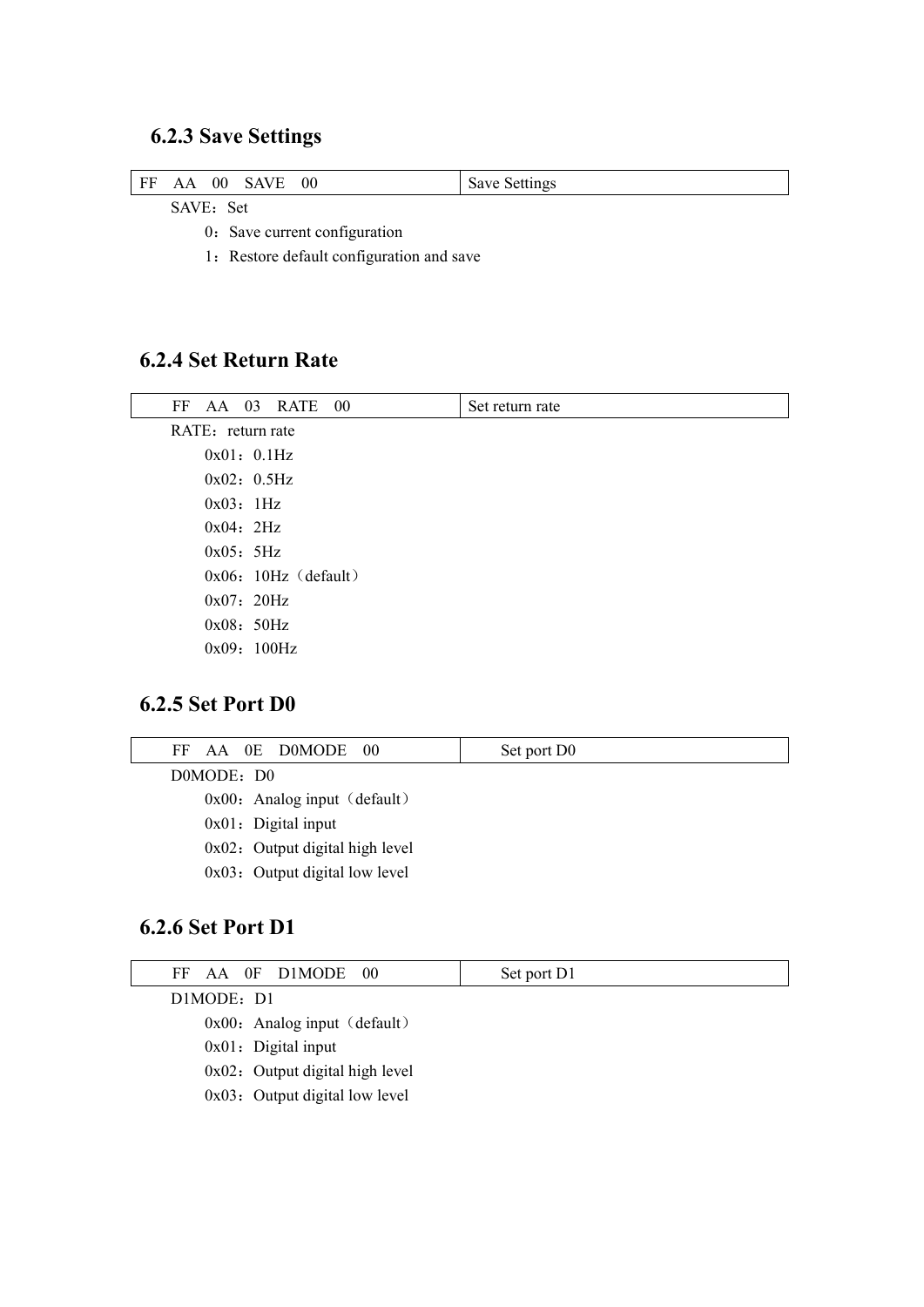# <span id="page-12-0"></span>**6.2.3 Save Settings**

| FF | AA                             | 00 | 00 | Save Settings |
|----|--------------------------------|----|----|---------------|
|    | $\alpha$ it $\pi$ and $\alpha$ |    |    |               |

SAVE: Set

0: Save current configuration

1: Restore default configuration and save

### <span id="page-12-1"></span>**6.2.4 Set Return Rate**

| FF        | AA 03 RATE 00          | Set return rate |  |  |  |  |  |  |
|-----------|------------------------|-----------------|--|--|--|--|--|--|
|           | RATE: return rate      |                 |  |  |  |  |  |  |
|           | 0x01: 0.1Hz            |                 |  |  |  |  |  |  |
|           | 0x02: 0.5Hz            |                 |  |  |  |  |  |  |
| 0x03:1Hz  |                        |                 |  |  |  |  |  |  |
| 0x04:2Hz  |                        |                 |  |  |  |  |  |  |
| 0x05: 5Hz |                        |                 |  |  |  |  |  |  |
|           | $0x06: 10Hz$ (default) |                 |  |  |  |  |  |  |
|           | 0x07: 20Hz             |                 |  |  |  |  |  |  |
|           | 0x08:50Hz              |                 |  |  |  |  |  |  |
|           | 0x09:100Hz             |                 |  |  |  |  |  |  |
|           |                        |                 |  |  |  |  |  |  |

### <span id="page-12-2"></span>**6.2.5 Set Port D0**

| FF AA 0E D0MODE 00                 | Set port D0 |
|------------------------------------|-------------|
| DOMODE: DO                         |             |
| $0x00$ : Analog input (default)    |             |
| $0x01$ : Digital input             |             |
| $0x02$ : Output digital high level |             |
| $0x03$ : Output digital low level  |             |
|                                    |             |

### <span id="page-12-3"></span>**6.2.6 Set Port D1**

| FF AA OF D1MODE 00                 | Set port D1 |
|------------------------------------|-------------|
| DIMODE: D1                         |             |
| $0x00$ : Analog input (default)    |             |
| $0x01$ : Digital input             |             |
| $0x02$ : Output digital high level |             |
| $0x03$ : Output digital low level  |             |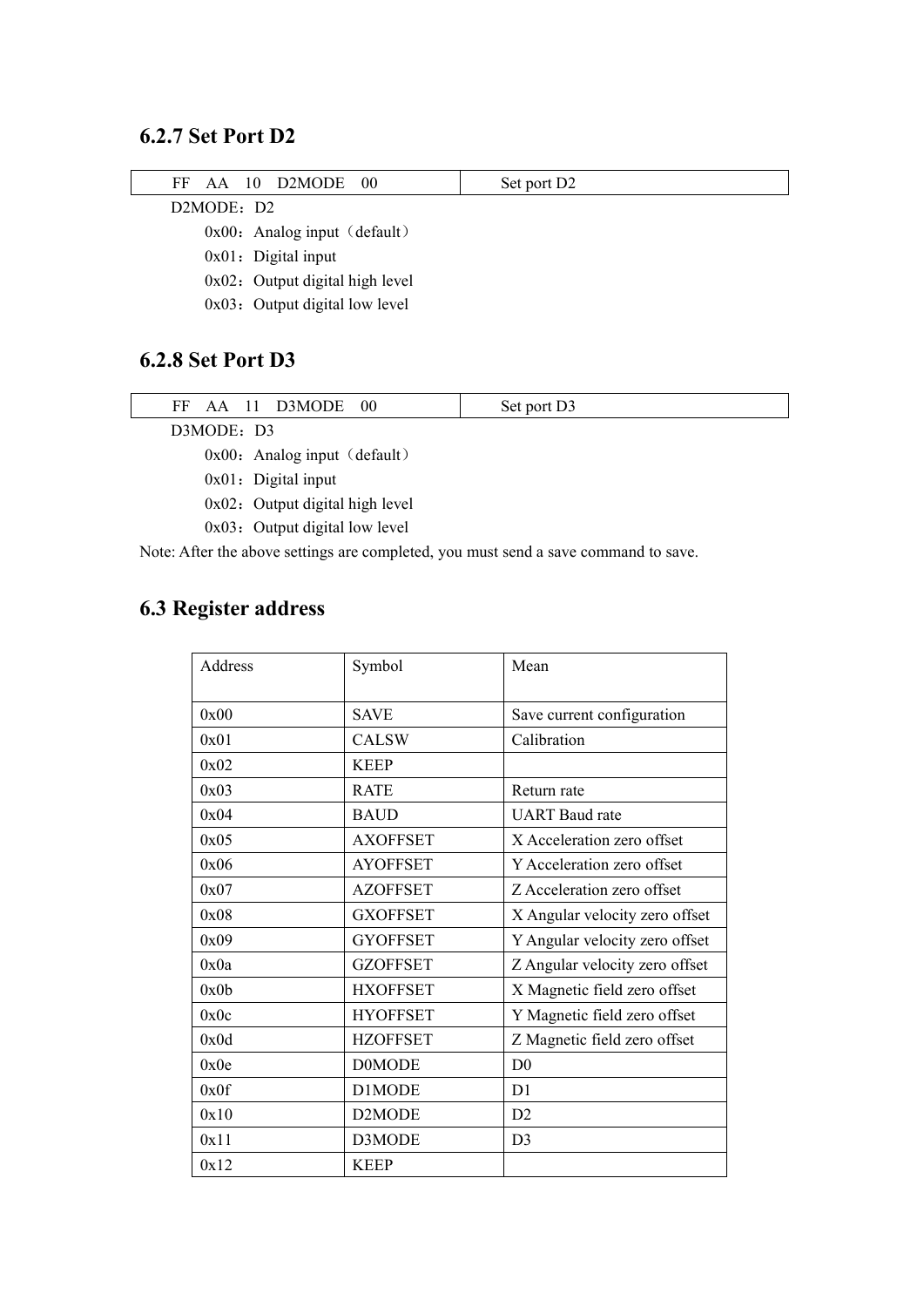### <span id="page-13-0"></span>**6.2.7 Set Port D2**

| AA 10 D2MODE 00<br>FF              | Set port D <sub>2</sub> |  |  |  |  |  |
|------------------------------------|-------------------------|--|--|--|--|--|
| D2MODE: D2                         |                         |  |  |  |  |  |
| $0x00$ : Analog input (default)    |                         |  |  |  |  |  |
| $0x01$ : Digital input             |                         |  |  |  |  |  |
| $0x02$ : Output digital high level |                         |  |  |  |  |  |
| 0x03: Output digital low level     |                         |  |  |  |  |  |
|                                    |                         |  |  |  |  |  |
| 6.2.8 Set Port D3                  |                         |  |  |  |  |  |

<span id="page-13-1"></span>

| FF AA 11 D3MODE 00                                      | Set port D3 |
|---------------------------------------------------------|-------------|
| D3MODE: D3                                              |             |
| $\sim$ $\sim$ $\sim$ $\sim$ $\sim$ $\sim$ $\sim$ $\sim$ |             |

 $0x00$ : Analog input (default)

0x01: Digital input

 $0x02$ : Output digital high level

0x03: Output digital low level

Note: After the above settings are completed, you must send a save command to save.

# <span id="page-13-2"></span>**6.3 Register address**

| Address | Symbol              | Mean                           |
|---------|---------------------|--------------------------------|
| 0x00    | <b>SAVE</b>         | Save current configuration     |
| 0x01    | <b>CALSW</b>        | Calibration                    |
| 0x02    | <b>KEEP</b>         |                                |
| 0x03    | <b>RATE</b>         | Return rate                    |
| 0x04    | <b>BAUD</b>         | <b>UART</b> Baud rate          |
| 0x05    | <b>AXOFFSET</b>     | X Acceleration zero offset     |
| 0x06    | <b>AYOFFSET</b>     | Y Acceleration zero offset     |
| 0x07    | <b>AZOFFSET</b>     | Z Acceleration zero offset     |
| 0x08    | <b>GXOFFSET</b>     | X Angular velocity zero offset |
| 0x09    | <b>GYOFFSET</b>     | Y Angular velocity zero offset |
| 0x0a    | <b>GZOFFSET</b>     | Z Angular velocity zero offset |
| 0x0b    | <b>HXOFFSET</b>     | X Magnetic field zero offset   |
| 0x0c    | <b>HYOFFSET</b>     | Y Magnetic field zero offset   |
| 0x0d    | <b>HZOFFSET</b>     | Z Magnetic field zero offset   |
| 0x0e    | <b>D0MODE</b>       | D <sub>0</sub>                 |
| 0x0f    | D1MODE              | D <sub>1</sub>                 |
| 0x10    | D <sub>2</sub> MODE | D <sub>2</sub>                 |
| 0x11    | D3MODE              | D <sub>3</sub>                 |
| 0x12    | <b>KEEP</b>         |                                |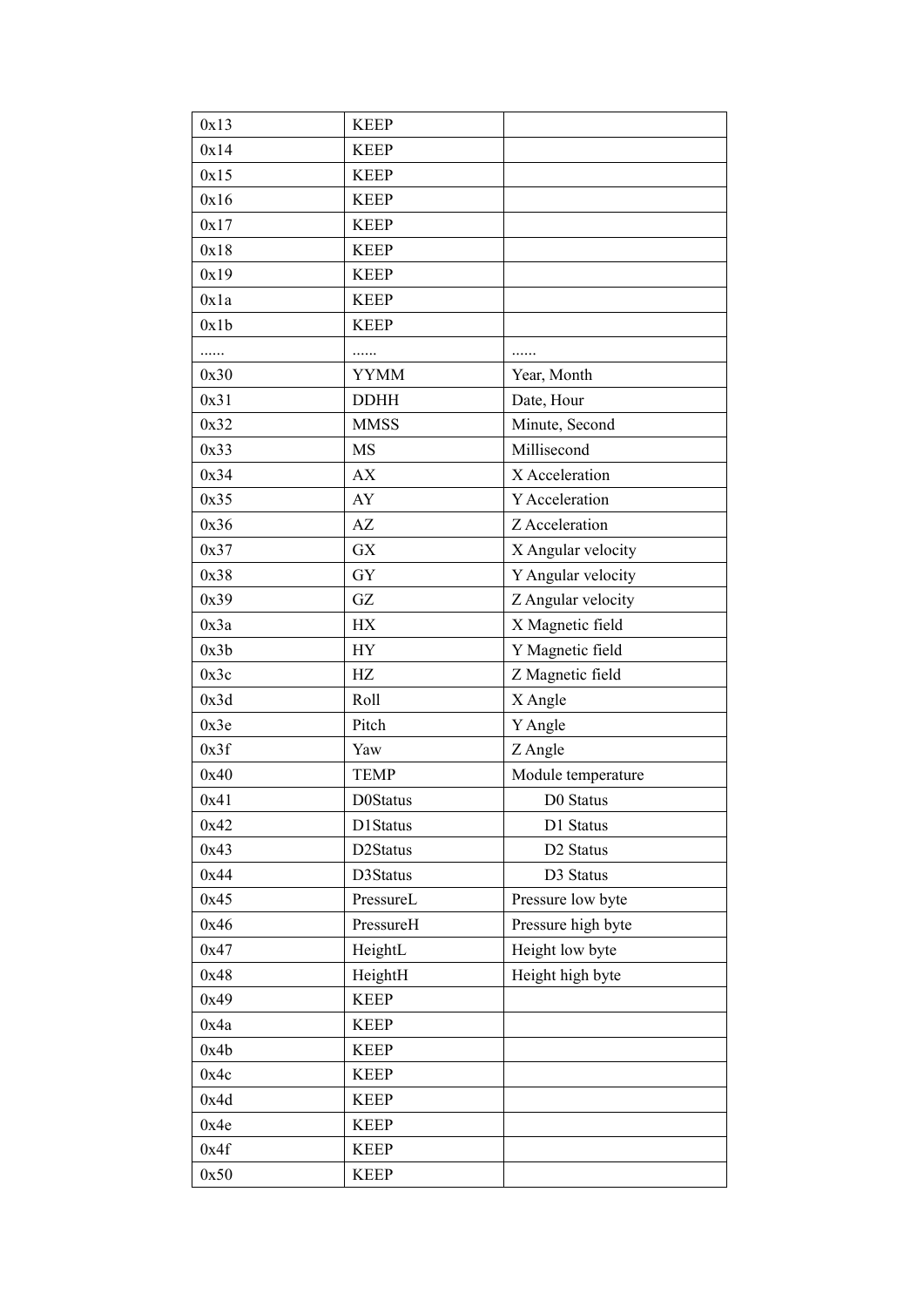| 0x13 | <b>KEEP</b>     |                       |
|------|-----------------|-----------------------|
| 0x14 | <b>KEEP</b>     |                       |
| 0x15 | <b>KEEP</b>     |                       |
| 0x16 | <b>KEEP</b>     |                       |
| 0x17 | <b>KEEP</b>     |                       |
| 0x18 | <b>KEEP</b>     |                       |
| 0x19 | <b>KEEP</b>     |                       |
| 0x1a | <b>KEEP</b>     |                       |
| 0x1b | <b>KEEP</b>     |                       |
| .    | .               | .                     |
| 0x30 | <b>YYMM</b>     | Year, Month           |
| 0x31 | <b>DDHH</b>     | Date, Hour            |
| 0x32 | <b>MMSS</b>     | Minute, Second        |
| 0x33 | MS              | Millisecond           |
| 0x34 | AX              | X Acceleration        |
| 0x35 | AY              | Y Acceleration        |
| 0x36 | AZ              | Z Acceleration        |
| 0x37 | GX              | X Angular velocity    |
| 0x38 | <b>GY</b>       | Y Angular velocity    |
| 0x39 | GZ              | Z Angular velocity    |
| 0x3a | HХ              | X Magnetic field      |
| 0x3b | <b>HY</b>       | Y Magnetic field      |
| 0x3c | HZ              | Z Magnetic field      |
| 0x3d | Roll            | X Angle               |
| 0x3e | Pitch           | Y Angle               |
| 0x3f | Yaw             | Z Angle               |
| 0x40 | <b>TEMP</b>     | Module temperature    |
| 0x41 | <b>D0Status</b> | D0 Status             |
| 0x42 | D1Status        | D1 Status             |
| 0x43 | D2Status        | D <sub>2</sub> Status |
| 0x44 | D3Status        | D3 Status             |
| 0x45 | PressureL       | Pressure low byte     |
| 0x46 | PressureH       | Pressure high byte    |
| 0x47 | HeightL         | Height low byte       |
| 0x48 | HeightH         | Height high byte      |
| 0x49 | <b>KEEP</b>     |                       |
| 0x4a | <b>KEEP</b>     |                       |
| 0x4b | <b>KEEP</b>     |                       |
| 0x4c | <b>KEEP</b>     |                       |
| 0x4d | <b>KEEP</b>     |                       |
| 0x4e | <b>KEEP</b>     |                       |
| 0x4f | <b>KEEP</b>     |                       |
| 0x50 | <b>KEEP</b>     |                       |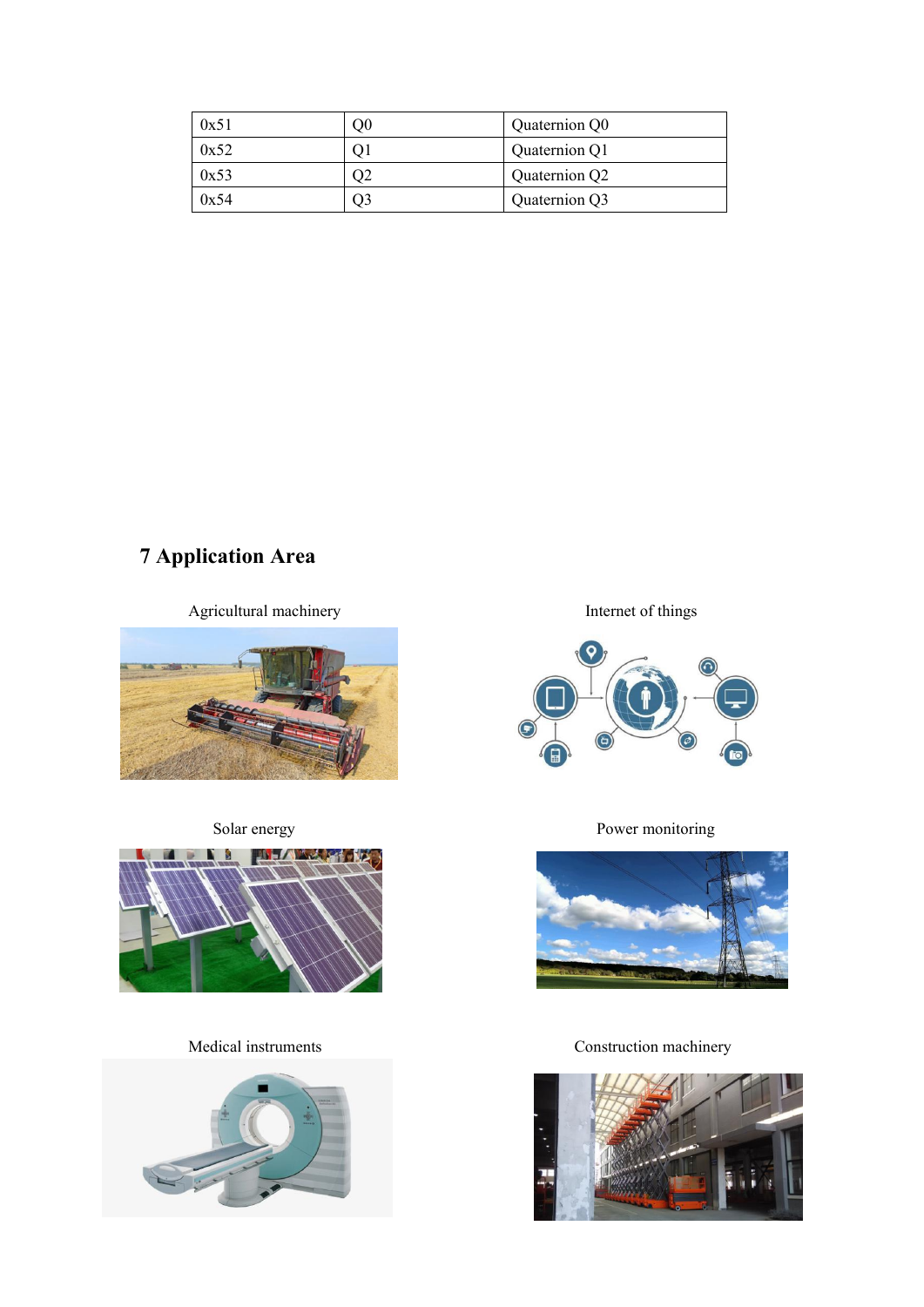| 0x51 |    | Quaternion Q0 |
|------|----|---------------|
| 0x52 |    | Quaternion Q1 |
| 0x53 |    | Quaternion Q2 |
| 0x54 | Э3 | Quaternion Q3 |

# <span id="page-15-0"></span>**7 Application Area**

Agricultural machinery Internet of things









Solar energy Power monitoring



Medical instruments Construction machinery

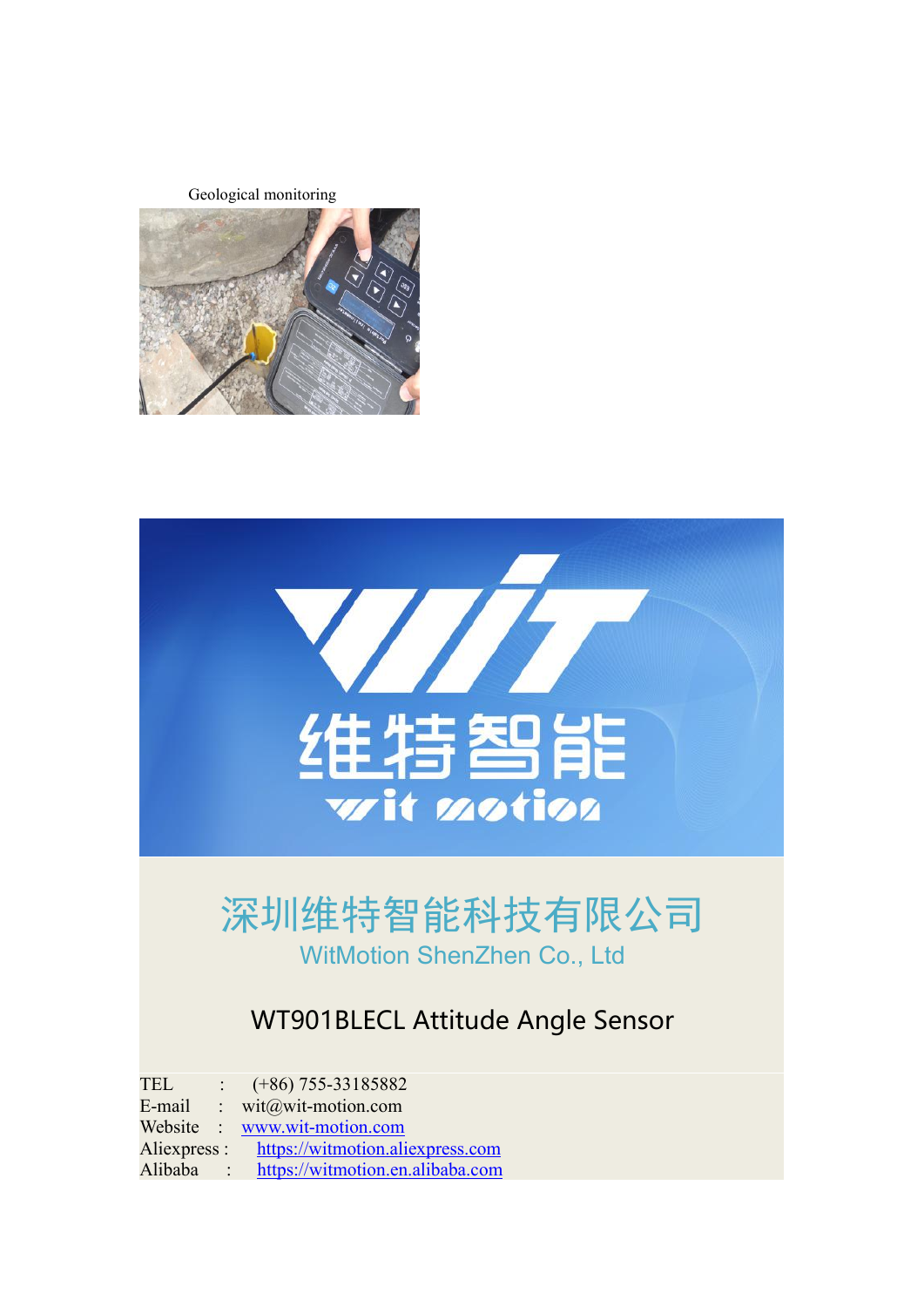Geological monitoring





# 深圳维特智能科技有限公司 WitMotion ShenZhen Co., Ltd

# WT901BLECL Attitude Angle Sensor

TEL :  $(+86)$  755-33185882

E-mail : wit@wit-motion.com Website : [www.wit-motion.com](http://www.wit-motion.com)

Aliexpress : <https://witmotion.aliexpress.com>

Alibaba : <https://witmotion.en.alibaba.com>